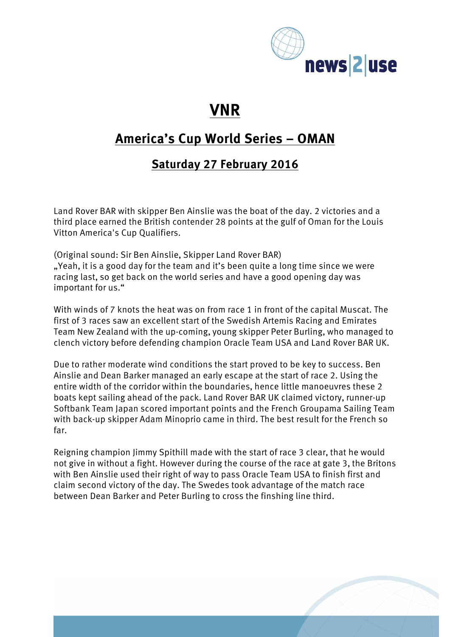

# **VNR**

### **America's Cup World Series – OMAN**

#### **Saturday 27 February 2016**

Land Rover BAR with skipper Ben Ainslie was the boat of the day. 2 victories and a third place earned the British contender 28 points at the gulf of Oman for the Louis Vitton America's Cup Qualifiers.

(Original sound: Sir Ben Ainslie, Skipper Land Rover BAR) ", Yeah, it is a good day for the team and it's been quite a long time since we were racing last, so get back on the world series and have a good opening day was important for us."

With winds of 7 knots the heat was on from race 1 in front of the capital Muscat. The first of 3 races saw an excellent start of the Swedish Artemis Racing and Emirates Team New Zealand with the up-coming, young skipper Peter Burling, who managed to clench victory before defending champion Oracle Team USA and Land Rover BAR UK.

Due to rather moderate wind conditions the start proved to be key to success. Ben Ainslie and Dean Barker managed an early escape at the start of race 2. Using the entire width of the corridor within the boundaries, hence little manoeuvres these 2 boats kept sailing ahead of the pack. Land Rover BAR UK claimed victory, runner-up Softbank Team Japan scored important points and the French Groupama Sailing Team with back-up skipper Adam Minoprio came in third. The best result for the French so far.

Reigning champion Jimmy Spithill made with the start of race 3 clear, that he would not give in without a fight. However during the course of the race at gate 3, the Britons with Ben Ainslie used their right of way to pass Oracle Team USA to finish first and claim second victory of the day. The Swedes took advantage of the match race between Dean Barker and Peter Burling to cross the finshing line third.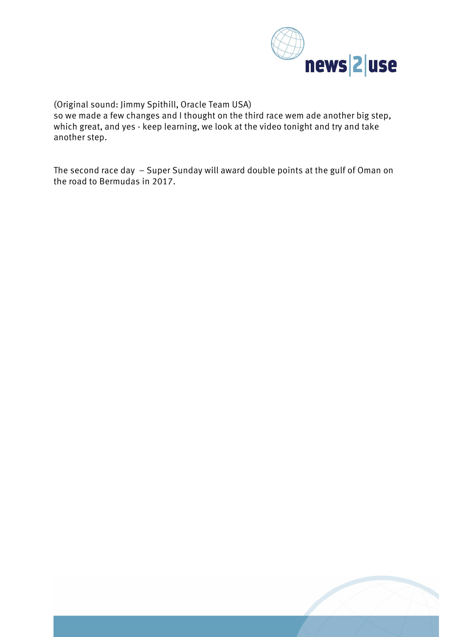

(Original sound: Jimmy Spithill, Oracle Team USA)

so we made a few changes and I thought on the third race wem ade another big step, which great, and yes - keep learning, we look at the video tonight and try and take another step.

The second race day – Super Sunday will award double points at the gulf of Oman on the road to Bermudas in 2017.

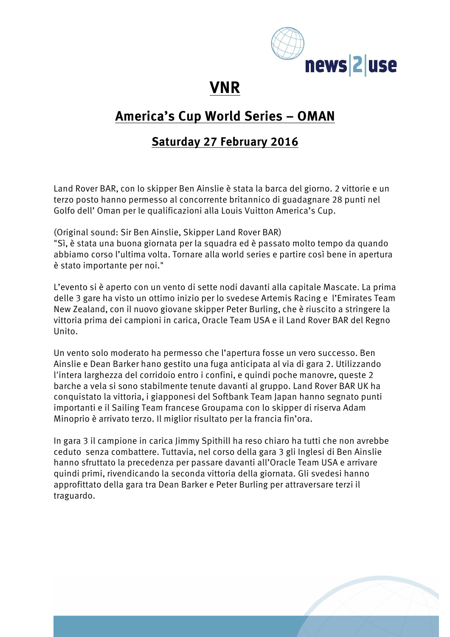

## **VNR**

### **America's Cup World Series – OMAN**

#### **Saturday 27 February 2016**

Land Rover BAR, con lo skipper Ben Ainslie è stata la barca del giorno. 2 vittorie e un terzo posto hanno permesso al concorrente britannico di guadagnare 28 punti nel Golfo dell' Oman per le qualificazioni alla Louis Vuitton America's Cup.

(Original sound: Sir Ben Ainslie, Skipper Land Rover BAR)

"Sì, è stata una buona giornata per la squadra ed è passato molto tempo da quando abbiamo corso l'ultima volta. Tornare alla world series e partire così bene in apertura è stato importante per noi."

L'evento si è aperto con un vento di sette nodi davanti alla capitale Mascate. La prima delle 3 gare ha visto un ottimo inizio per lo svedese Artemis Racing e l'Emirates Team New Zealand, con il nuovo giovane skipper Peter Burling, che è riuscito a stringere la vittoria prima dei campioni in carica, Oracle Team USA e il Land Rover BAR del Regno Unito.

Un vento solo moderato ha permesso che l'apertura fosse un vero successo. Ben Ainslie e Dean Barker hano gestito una fuga anticipata al via di gara 2. Utilizzando l'intera larghezza del corridoio entro i confini, e quindi poche manovre, queste 2 barche a vela si sono stabilmente tenute davanti al gruppo. Land Rover BAR UK ha conquistato la vittoria, i giapponesi del Softbank Team Japan hanno segnato punti importanti e il Sailing Team francese Groupama con lo skipper di riserva Adam Minoprio è arrivato terzo. Il miglior risultato per la francia fin'ora.

In gara 3 il campione in carica Jimmy Spithill ha reso chiaro ha tutti che non avrebbe ceduto senza combattere. Tuttavia, nel corso della gara 3 gli Inglesi di Ben Ainslie hanno sfruttato la precedenza per passare davanti all'Oracle Team USA e arrivare quindi primi, rivendicando la seconda vittoria della giornata. Gli svedesi hanno approfittato della gara tra Dean Barker e Peter Burling per attraversare terzi il traguardo.